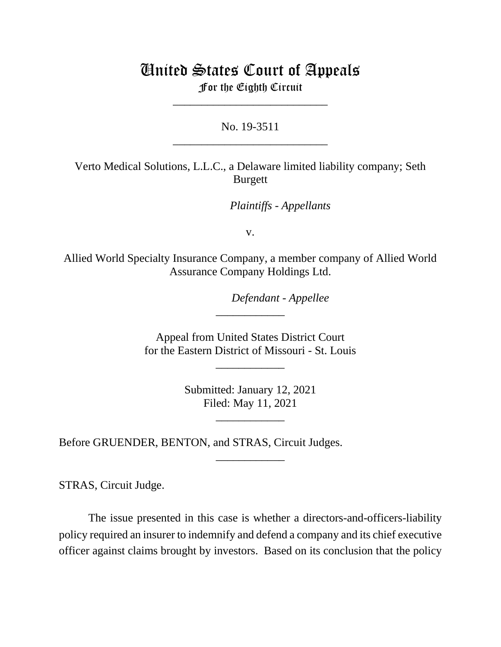# United States Court of Appeals

For the Eighth Circuit \_\_\_\_\_\_\_\_\_\_\_\_\_\_\_\_\_\_\_\_\_\_\_\_\_\_\_

No. 19-3511 \_\_\_\_\_\_\_\_\_\_\_\_\_\_\_\_\_\_\_\_\_\_\_\_\_\_\_

Verto Medical Solutions, L.L.C., a Delaware limited liability company; Seth Burgett

*Plaintiffs - Appellants*

v.

Allied World Specialty Insurance Company, a member company of Allied World Assurance Company Holdings Ltd.

*Defendant - Appellee*

Appeal from United States District Court for the Eastern District of Missouri - St. Louis

\_\_\_\_\_\_\_\_\_\_\_\_

\_\_\_\_\_\_\_\_\_\_\_\_

Submitted: January 12, 2021 Filed: May 11, 2021

\_\_\_\_\_\_\_\_\_\_\_\_

\_\_\_\_\_\_\_\_\_\_\_\_

Before GRUENDER, BENTON, and STRAS, Circuit Judges.

STRAS, Circuit Judge.

The issue presented in this case is whether a directors-and-officers-liability policy required an insurer to indemnify and defend a company and its chief executive officer against claims brought by investors. Based on its conclusion that the policy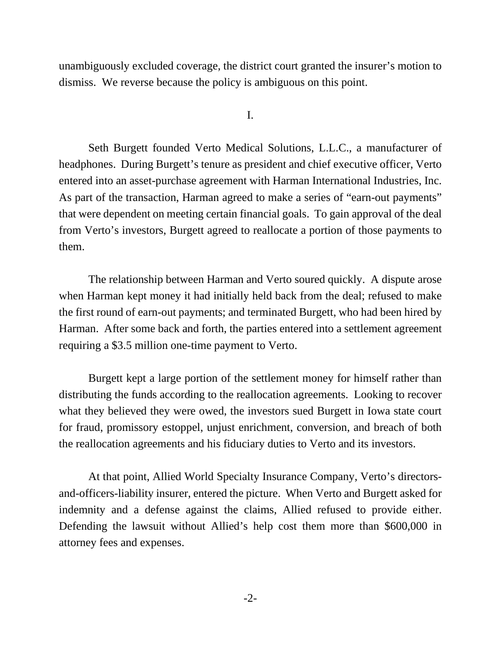unambiguously excluded coverage, the district court granted the insurer's motion to dismiss. We reverse because the policy is ambiguous on this point.

I.

Seth Burgett founded Verto Medical Solutions, L.L.C., a manufacturer of headphones. During Burgett's tenure as president and chief executive officer, Verto entered into an asset-purchase agreement with Harman International Industries, Inc. As part of the transaction, Harman agreed to make a series of "earn-out payments" that were dependent on meeting certain financial goals. To gain approval of the deal from Verto's investors, Burgett agreed to reallocate a portion of those payments to them.

 The relationship between Harman and Verto soured quickly. A dispute arose when Harman kept money it had initially held back from the deal; refused to make the first round of earn-out payments; and terminated Burgett, who had been hired by Harman. After some back and forth, the parties entered into a settlement agreement requiring a \$3.5 million one-time payment to Verto.

Burgett kept a large portion of the settlement money for himself rather than distributing the funds according to the reallocation agreements. Looking to recover what they believed they were owed, the investors sued Burgett in Iowa state court for fraud, promissory estoppel, unjust enrichment, conversion, and breach of both the reallocation agreements and his fiduciary duties to Verto and its investors.

At that point, Allied World Specialty Insurance Company, Verto's directorsand-officers-liability insurer, entered the picture. When Verto and Burgett asked for indemnity and a defense against the claims, Allied refused to provide either. Defending the lawsuit without Allied's help cost them more than \$600,000 in attorney fees and expenses.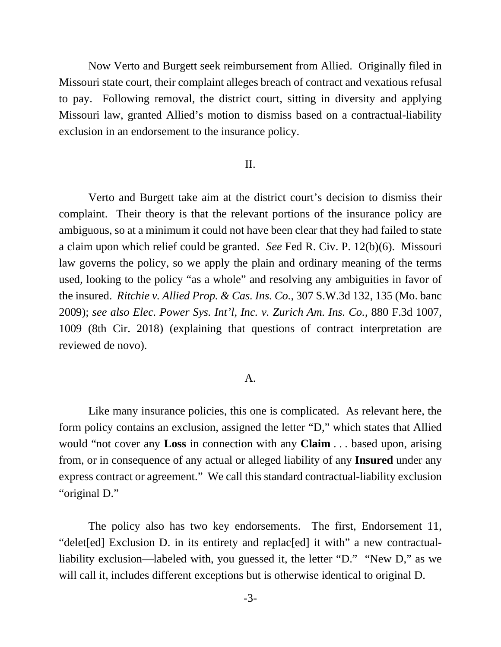Now Verto and Burgett seek reimbursement from Allied. Originally filed in Missouri state court, their complaint alleges breach of contract and vexatious refusal to pay. Following removal, the district court, sitting in diversity and applying Missouri law, granted Allied's motion to dismiss based on a contractual-liability exclusion in an endorsement to the insurance policy.

# II.

Verto and Burgett take aim at the district court's decision to dismiss their complaint. Their theory is that the relevant portions of the insurance policy are ambiguous, so at a minimum it could not have been clear that they had failed to state a claim upon which relief could be granted. *See* Fed R. Civ. P. 12(b)(6). Missouri law governs the policy, so we apply the plain and ordinary meaning of the terms used, looking to the policy "as a whole" and resolving any ambiguities in favor of the insured. *Ritchie v. Allied Prop. & Cas. Ins. Co.*, 307 S.W.3d 132, 135 (Mo. banc 2009); *see also Elec. Power Sys. Int'l, Inc. v. Zurich Am. Ins. Co.*, 880 F.3d 1007, 1009 (8th Cir. 2018) (explaining that questions of contract interpretation are reviewed de novo).

#### A.

Like many insurance policies, this one is complicated. As relevant here, the form policy contains an exclusion, assigned the letter "D," which states that Allied would "not cover any **Loss** in connection with any **Claim** . . . based upon, arising from, or in consequence of any actual or alleged liability of any **Insured** under any express contract or agreement." We call this standard contractual-liability exclusion "original D."

The policy also has two key endorsements. The first, Endorsement 11, "delet[ed] Exclusion D. in its entirety and replac[ed] it with" a new contractualliability exclusion—labeled with, you guessed it, the letter "D." "New D," as we will call it, includes different exceptions but is otherwise identical to original D.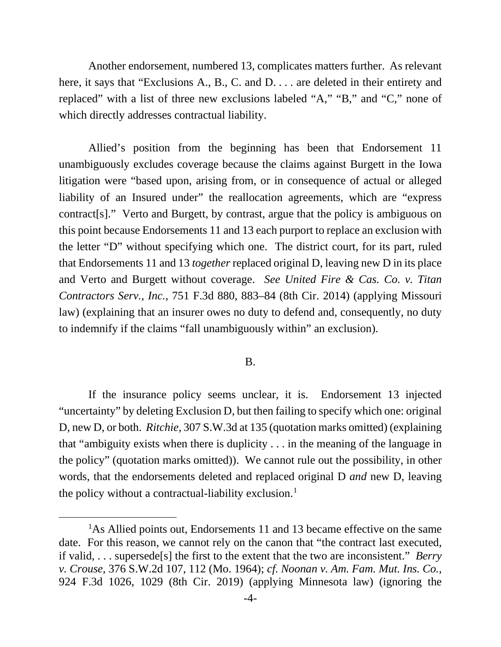Another endorsement, numbered 13, complicates matters further. As relevant here, it says that "Exclusions A., B., C. and D. . . . are deleted in their entirety and replaced" with a list of three new exclusions labeled "A," "B," and "C," none of which directly addresses contractual liability.

Allied's position from the beginning has been that Endorsement 11 unambiguously excludes coverage because the claims against Burgett in the Iowa litigation were "based upon, arising from, or in consequence of actual or alleged liability of an Insured under" the reallocation agreements, which are "express contract[s]." Verto and Burgett, by contrast, argue that the policy is ambiguous on this point because Endorsements 11 and 13 each purport to replace an exclusion with the letter "D" without specifying which one. The district court, for its part, ruled that Endorsements 11 and 13 *together* replaced original D, leaving new D in its place and Verto and Burgett without coverage. *See United Fire & Cas. Co. v. Titan Contractors Serv., Inc.*, 751 F.3d 880, 883–84 (8th Cir. 2014) (applying Missouri law) (explaining that an insurer owes no duty to defend and, consequently, no duty to indemnify if the claims "fall unambiguously within" an exclusion).

## B.

 If the insurance policy seems unclear, it is. Endorsement 13 injected "uncertainty" by deleting Exclusion D, but then failing to specify which one: original D, new D, or both. *Ritchie*, 307 S.W.3d at 135 (quotation marks omitted) (explaining that "ambiguity exists when there is duplicity . . . in the meaning of the language in the policy" (quotation marks omitted)). We cannot rule out the possibility, in other words, that the endorsements deleted and replaced original D *and* new D, leaving the policy without a contractual-liability exclusion.<sup>[1](#page-3-0)</sup>

<span id="page-3-0"></span><sup>&</sup>lt;sup>1</sup>As Allied points out, Endorsements 11 and 13 became effective on the same date. For this reason, we cannot rely on the canon that "the contract last executed, if valid, . . . supersede[s] the first to the extent that the two are inconsistent." *Berry v. Crouse*, 376 S.W.2d 107, 112 (Mo. 1964); *cf. Noonan v. Am. Fam. Mut. Ins. Co.*, 924 F.3d 1026, 1029 (8th Cir. 2019) (applying Minnesota law) (ignoring the